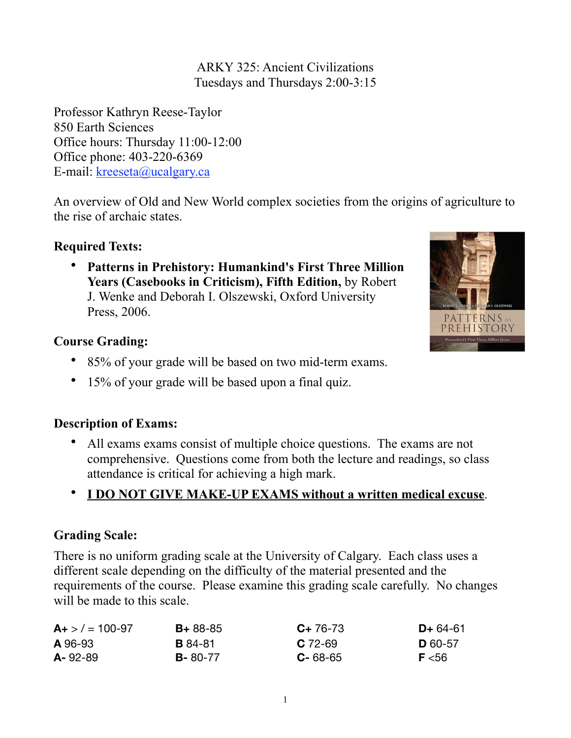ARKY 325: Ancient Civilizations Tuesdays and Thursdays 2:00-3:15

Professor Kathryn Reese-Taylor 850 Earth Sciences Office hours: Thursday 11:00-12:00 Office phone: 403-220-6369 E-mail: [kreeseta@ucalgary.ca](mailto:k_reesetaylor@yahoo.com)

An overview of Old and New World complex societies from the origins of agriculture to the rise of archaic states.

## **Required Texts:**

• **Patterns in Prehistory: Humankind's First Three Million Years (Casebooks in Criticism), Fifth Edition,** by Robert J. Wenke and Deborah I. Olszewski, Oxford University Press, 2006.



### **Course Grading:**

- 85% of your grade will be based on two mid-term exams.
- 15% of your grade will be based upon a final quiz.

## **Description of Exams:**

• All exams exams consist of multiple choice questions. The exams are not comprehensive. Questions come from both the lecture and readings, so class attendance is critical for achieving a high mark.

# • **I DO NOT GIVE MAKE-UP EXAMS without a written medical excuse**.

## **Grading Scale:**

There is no uniform grading scale at the University of Calgary. Each class uses a different scale depending on the difficulty of the material presented and the requirements of the course. Please examine this grading scale carefully. No changes will be made to this scale.

| $A+$ > $/$ = 100-97 | $B + 88 - 85$  | $C+76-73$     | $D+64-61$      |
|---------------------|----------------|---------------|----------------|
| A 96-93             | <b>B</b> 84-81 | $C$ 72-69     | <b>D</b> 60-57 |
| $A - 92 - 89$       | $B - 80 - 77$  | $C - 68 - 65$ | F < 56         |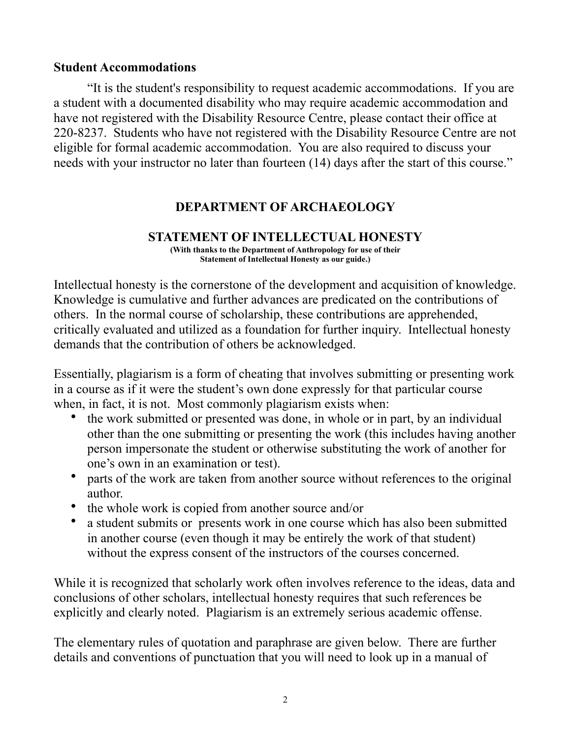#### **Student Accommodations**

 "It is the student's responsibility to request academic accommodations. If you are a student with a documented disability who may require academic accommodation and have not registered with the Disability Resource Centre, please contact their office at 220-8237. Students who have not registered with the Disability Resource Centre are not eligible for formal academic accommodation. You are also required to discuss your needs with your instructor no later than fourteen (14) days after the start of this course."

## **DEPARTMENT OF ARCHAEOLOGY**

### **STATEMENT OF INTELLECTUAL HONESTY**

**(With thanks to the Department of Anthropology for use of their Statement of Intellectual Honesty as our guide.)** 

Intellectual honesty is the cornerstone of the development and acquisition of knowledge. Knowledge is cumulative and further advances are predicated on the contributions of others. In the normal course of scholarship, these contributions are apprehended, critically evaluated and utilized as a foundation for further inquiry. Intellectual honesty demands that the contribution of others be acknowledged.

Essentially, plagiarism is a form of cheating that involves submitting or presenting work in a course as if it were the student's own done expressly for that particular course when, in fact, it is not. Most commonly plagiarism exists when:

- the work submitted or presented was done, in whole or in part, by an individual other than the one submitting or presenting the work (this includes having another person impersonate the student or otherwise substituting the work of another for one's own in an examination or test).
- parts of the work are taken from another source without references to the original author.
- the whole work is copied from another source and/or
- a student submits or presents work in one course which has also been submitted in another course (even though it may be entirely the work of that student) without the express consent of the instructors of the courses concerned.

While it is recognized that scholarly work often involves reference to the ideas, data and conclusions of other scholars, intellectual honesty requires that such references be explicitly and clearly noted. Plagiarism is an extremely serious academic offense.

The elementary rules of quotation and paraphrase are given below. There are further details and conventions of punctuation that you will need to look up in a manual of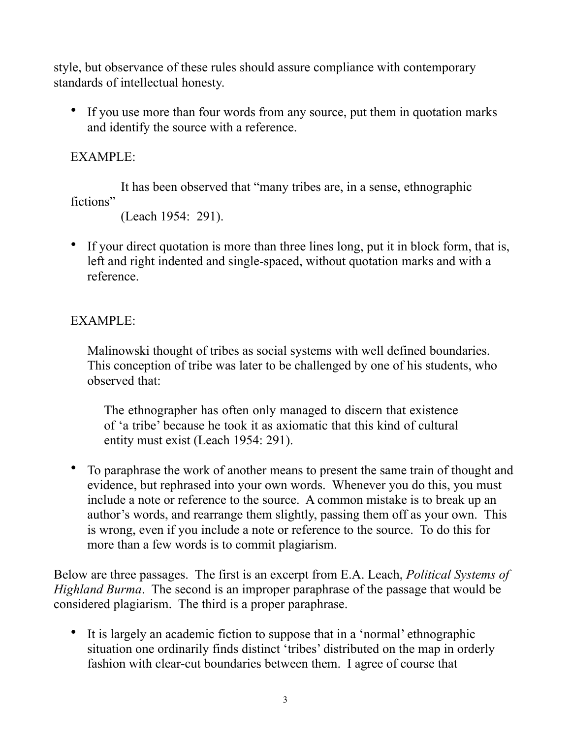style, but observance of these rules should assure compliance with contemporary standards of intellectual honesty.

• If you use more than four words from any source, put them in quotation marks and identify the source with a reference.

## EXAMPLE:

 It has been observed that "many tribes are, in a sense, ethnographic fictions"

```
 (Leach 1954: 291).
```
• If your direct quotation is more than three lines long, put it in block form, that is, left and right indented and single-spaced, without quotation marks and with a reference.

# EXAMPLE:

Malinowski thought of tribes as social systems with well defined boundaries. This conception of tribe was later to be challenged by one of his students, who observed that:

The ethnographer has often only managed to discern that existence of 'a tribe' because he took it as axiomatic that this kind of cultural entity must exist (Leach 1954: 291).

• To paraphrase the work of another means to present the same train of thought and evidence, but rephrased into your own words. Whenever you do this, you must include a note or reference to the source. A common mistake is to break up an author's words, and rearrange them slightly, passing them off as your own. This is wrong, even if you include a note or reference to the source. To do this for more than a few words is to commit plagiarism.

Below are three passages. The first is an excerpt from E.A. Leach, *Political Systems of Highland Burma*. The second is an improper paraphrase of the passage that would be considered plagiarism. The third is a proper paraphrase.

• It is largely an academic fiction to suppose that in a 'normal' ethnographic situation one ordinarily finds distinct 'tribes' distributed on the map in orderly fashion with clear-cut boundaries between them. I agree of course that